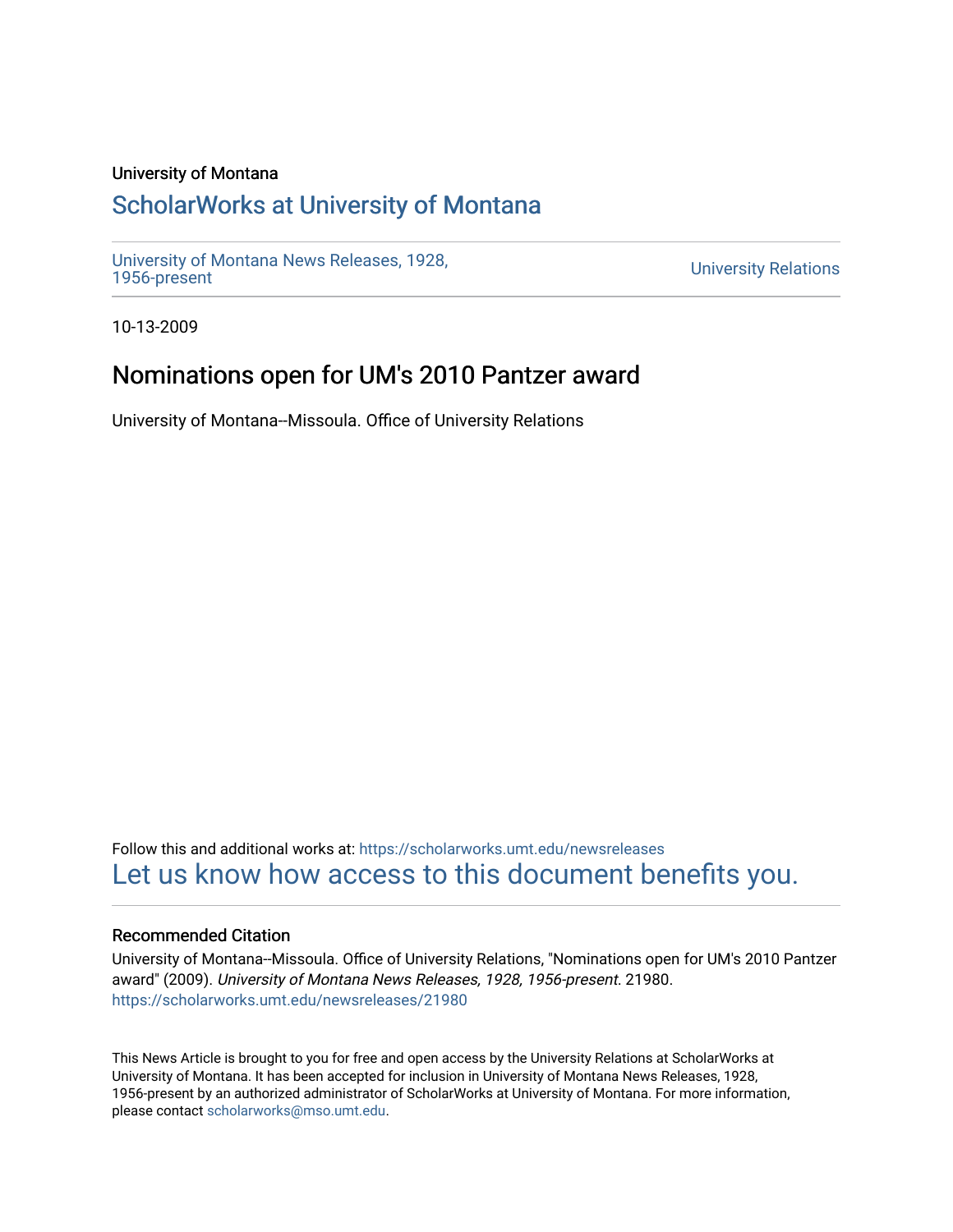### University of Montana

# [ScholarWorks at University of Montana](https://scholarworks.umt.edu/)

[University of Montana News Releases, 1928,](https://scholarworks.umt.edu/newsreleases) 

**University Relations** 

10-13-2009

## Nominations open for UM's 2010 Pantzer award

University of Montana--Missoula. Office of University Relations

Follow this and additional works at: [https://scholarworks.umt.edu/newsreleases](https://scholarworks.umt.edu/newsreleases?utm_source=scholarworks.umt.edu%2Fnewsreleases%2F21980&utm_medium=PDF&utm_campaign=PDFCoverPages) [Let us know how access to this document benefits you.](https://goo.gl/forms/s2rGfXOLzz71qgsB2) 

### Recommended Citation

University of Montana--Missoula. Office of University Relations, "Nominations open for UM's 2010 Pantzer award" (2009). University of Montana News Releases, 1928, 1956-present. 21980. [https://scholarworks.umt.edu/newsreleases/21980](https://scholarworks.umt.edu/newsreleases/21980?utm_source=scholarworks.umt.edu%2Fnewsreleases%2F21980&utm_medium=PDF&utm_campaign=PDFCoverPages) 

This News Article is brought to you for free and open access by the University Relations at ScholarWorks at University of Montana. It has been accepted for inclusion in University of Montana News Releases, 1928, 1956-present by an authorized administrator of ScholarWorks at University of Montana. For more information, please contact [scholarworks@mso.umt.edu.](mailto:scholarworks@mso.umt.edu)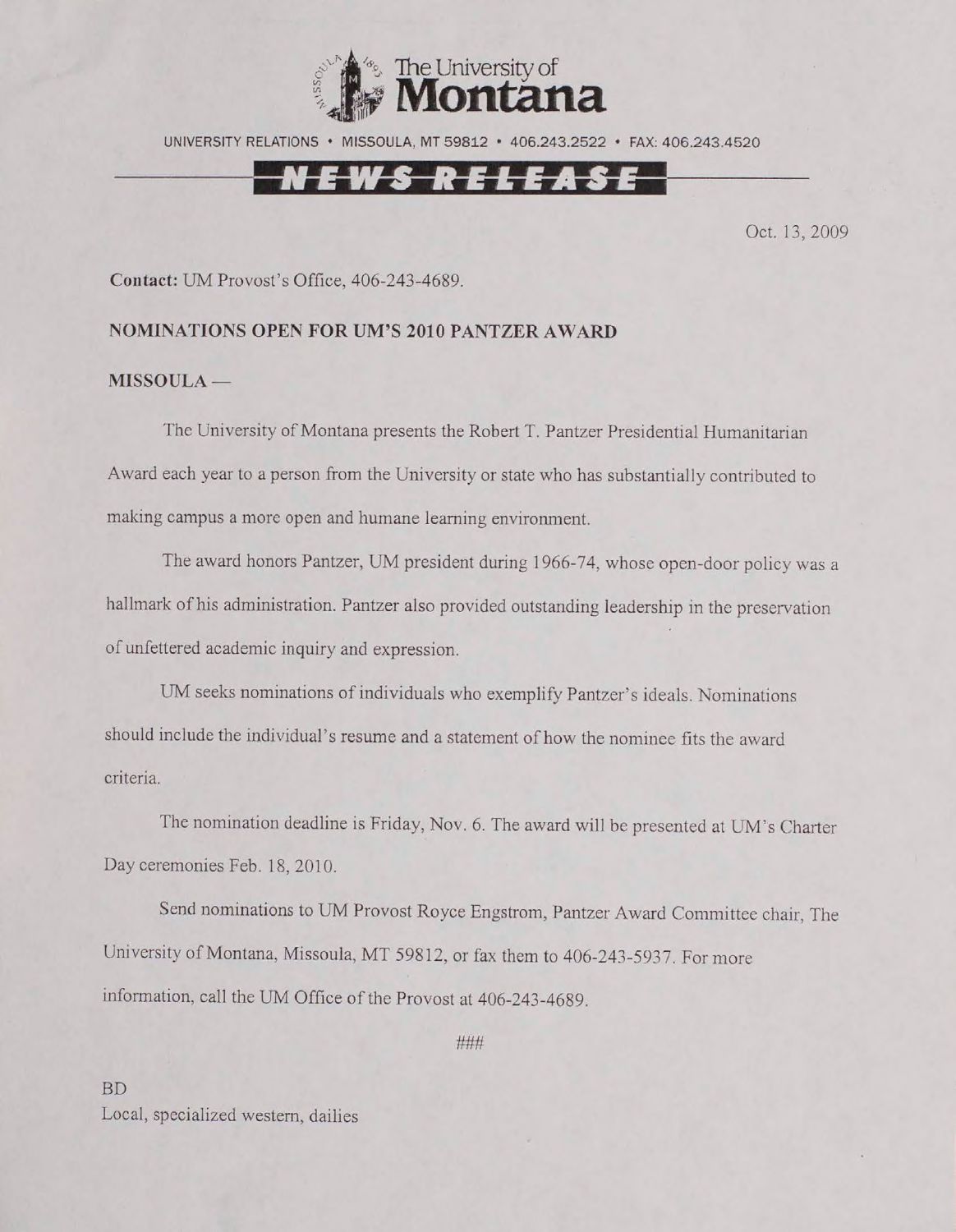

UNIVERSITY RELATIONS • MISSOULA, MT 59812 • 406.243.2522 • FAX: 406.243.4520

## EWS RELEASE

Oct. 13,2009

Contact: UM Provost's Office, 406-243-4689.

#### **NOMINATIONS OPEN FOR UM'S 2010 PANTZER AWARD**

#### **MISSOULA —**

The University of Montana presents the Robert T. Pantzer Presidential Humanitarian Award each year to a person from the University or state who has substantially contributed to making campus a more open and humane learning environment.

The award honors Pantzer, UM president during 1966-74, whose open-door policy was a hallmark of his administration. Pantzer also provided outstanding leadership in the preservation of unfettered academic inquiry and expression.

UM seeks nominations of individuals who exemplify Pantzer's ideals. Nominations should include the individual's resume and a statement of how the nominee fits the award criteria.

The nomination deadline is Friday, Nov. 6. The award will be presented at UM's Charter Day ceremonies Feb. 18, 2010.

Send nominations to UM Provost Royce Engstrom, Pantzer Award Committee chair, The University of Montana, Missoula, MT 59812, or fax them to 406-243-5937. For more information, call the UM Office of the Provost at 406-243-4689.

**###**

BD Local, specialized western, dailies